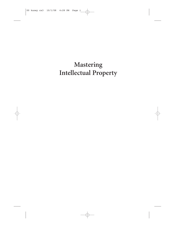# **Mastering Intellectual Property**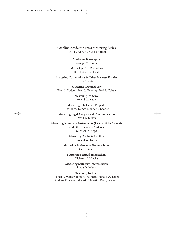**Carolina Academic Press Mastering Series** Russell Weaver, Series Editor

> **Mastering Bankruptcy** George W. Kuney

**Mastering Civil Procedure** David Charles Hricik

**Mastering Corporations & Other Business Entities** Lee Harris

**Mastering Criminal Law** Ellen S. Podgor, Peter J. Henning, Neil P. Cohen

> **Mastering Evidence** Ronald W. Eades

**Mastering Intellectual Property** George W. Kuney, Donna C. Looper

**Mastering Legal Analysis and Communication** David T. Ritchie

**Mastering Negotiable Instruments (UCC Articles 3 and 4) and Other Payment Systems** Michael D. Floyd

> **Mastering Products Liability** Ronald W. Eades

**Mastering Professional Responsibility** Grace Giesel

**Mastering Secured Transactions** Richard H. Nowka

**Mastering Statutory Interpretation** Linda D. Jellum

**Mastering Tort Law** Russell L. Weaver, John H. Bauman, Ronald W. Eades, Andrew R. Klein, Edward C. Martin, Paul J. Zwier II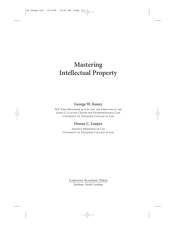## **Mastering Intellectual Property**

#### **George W. Kuney**

W.P. TOMS PROFESSOR OF LAW AND THE DIRECTOR OF THE James L. Clayton Center for Entrepreneurial Law University of Tennessee College of Law

#### **Donna C. Looper**

Adjunct Professor of Law University of Tennessee College of Law

> Carolina Academic Press Durham, North Carolina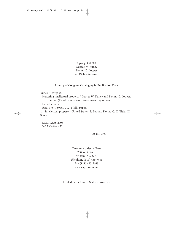Copyright © 2009 George W. Kuney Donna C. Looper All Rights Reserved

#### **Library of Congress Cataloging in Publication Data**

Kuney, George W.

Mastering intellectual property / George W. Kuney and Donna C. Looper. p. cm. -- (Carolina Academic Press mastering series) Includes index. ISBN 978-1-59460-392-1 (alk. paper) 1. Intellectual property--United States. I. Looper, Donna C. II. Title. III. Series.

KF2979.K86 2008 346.7304'8--dc22

2008035092

Carolina Academic Press 700 Kent Street Durham, NC 27701 Telephone (919) 489-7486 Fax (919) 493-5668 www.cap-press.com

Printed in the United States of America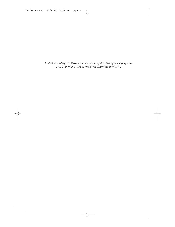*To Professor Margreth Barrett and memories of the Hastings College of Law Giles Sutherland Rich Patent Moot Court Team of 1989.*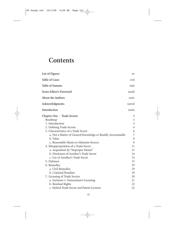## **Contents**

| <b>List of Figures</b>                                        | XV             |
|---------------------------------------------------------------|----------------|
| <b>Table of Cases</b>                                         | xvii           |
| <b>Table of Statutes</b>                                      | xxix           |
| Series Editor's Foreword                                      | xxxiii         |
| <b>About the Authors</b>                                      | <b>XXXV</b>    |
| Acknowledgments                                               | xxxvii         |
| Introduction                                                  | xxxix          |
| Chapter One · Trade Secrets                                   | 3              |
| Roadmap                                                       | 3              |
| 1. Introduction                                               | 3              |
| 2. Defining Trade Secrets                                     | $\overline{4}$ |
| 3. Characteristics of a Trade Secret                          | 6              |
| a. Not a Matter of General Knowledge or Readily Ascertainable | $\overline{7}$ |
| b. Value                                                      | 9              |
| c. Reasonable Means to Maintain Secrecy                       | 9              |
| 4. Misappropriation of a Trade Secret                         | 11             |
| a. Acquisition by "Improper Means"                            | 12             |
| b. Disclosure of Another's Trade Secret                       | 14             |
| c. Use of Another's Trade Secret                              | 14             |
| 5. Defenses                                                   | 15             |
| 6. Remedies                                                   | 19             |
| a. Civil Remedies                                             | 19             |
| b. Criminal Penalties                                         | 19             |
| 7. Licensing of Trade Secrets                                 | 20             |
| a. Exclusive v. Nonexclusive Licensing                        | 21             |
| b. Residual Rights                                            | 22             |
| c. Hybrid Trade Secret and Patent Licenses                    | 22             |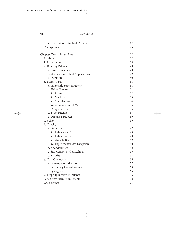| 8. Security Interests in Trade Secrets | 22 |
|----------------------------------------|----|
| Checkpoints                            | 25 |
|                                        |    |
| Chapter Two · Patent Law               | 27 |
| Roadmap                                | 27 |
| 1. Introduction                        | 28 |
| 2. Defining Patents                    | 28 |
| a. Basic Principles                    | 28 |
| b. Overview of Patent Applications     | 29 |
| c. Duration                            | 30 |
| 3. Patent Types                        | 31 |
| a. Patentable Subject Matter           | 31 |
| b. Utility Patents                     | 32 |
| i. Process                             | 32 |
| ii. Machine                            | 33 |
| iii. Manufacture                       | 34 |
| iv. Composition of Matter              | 35 |
| c. Design Patents                      | 35 |
| d. Plant Patents                       | 37 |
| e. Orphan Drug Act                     | 39 |
| 4. Utility                             | 39 |
| 5. Novelty                             | 41 |
| a. Statutory Bar                       | 47 |
| Publication Bar<br>i.                  | 48 |
| ii. Public Use Bar                     | 48 |
| iii. On Sale Bar                       | 49 |
| iv. Experimental Use Exception         | 50 |
| b. Abandonment                         | 52 |
| c. Suppression or Concealment          | 53 |
| d. Priority                            | 54 |
| 6. Non-Obviousness                     | 56 |
| a. Primary Considerations              | 57 |
| b. Secondary Considerations            | 63 |
| c. Synergism                           | 65 |
| 7. Property Interest in Patents        | 66 |
| 8. Security Interests in Patents       | 68 |
| Checkpoints                            | 73 |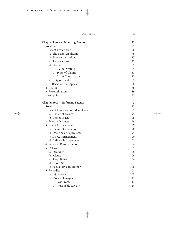| Chapter Three $\cdot$ Acquiring Patents | 75  |
|-----------------------------------------|-----|
| Roadmap                                 | 75  |
| 1. Patent Prosecution                   | 76  |
| a. The Patent Applicant                 | 76  |
| b. Patent Applications                  | 77  |
| c. Specifications                       | 79  |
| d. Claims                               | 79  |
| Claim Drafting<br>i.                    | 79  |
| ii. Types of Claims                     | 81  |
| iii. Claim Construction                 | 83  |
| e. Duty of Candor                       | 85  |
| f. Rejection and Appeal                 | 86  |
| 2. Reissue                              | 86  |
| 3. Reexamination                        | 89  |
| Checkpoints                             | 91  |
| Chapter Four · Enforcing Patents        | 93  |
| Roadmap                                 | 93  |
| 1. Patent Litigation in Federal Court   | 95  |
| a. Choice of Forum                      | 95  |
| b. Choice of Law                        | 95  |
| 2. Priority Disputes                    | 96  |
| 3. Patent Infringement                  | 97  |
| a. Claim Interpretation                 | 98  |
| b. Doctrine of Equivalents              | 99  |
| c. Direct Infringement                  | 100 |
| d. Indirect Infringement                | 102 |
| 4. Repair v. Reconstruction             | 104 |
| 5. Defenses                             | 105 |
| a. Invalidity                           | 105 |
| b. Misuse                               | 106 |
| c. Shop Rights                          | 106 |
| d. Prior Use                            | 107 |
| e. Regulatory Safe Harbor               | 108 |
| 6. Remedies                             | 108 |
| a. Injunctions                          | 109 |
| b. Money Damages                        | 113 |
| <i>i.</i> Lost Profits                  | 113 |
| ii. Reasonable Royalty                  | 114 |
|                                         |     |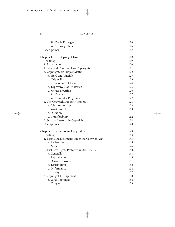| iii. Treble Damages                            | 116 |
|------------------------------------------------|-----|
| iv. Attorneys' Fees                            | 116 |
| Checkpoints                                    | 117 |
| Chapter Five · Copyright Law                   | 119 |
| Roadmap                                        | 119 |
| 1. Introduction                                | 120 |
| 2. State and Common Law Copyrights             | 121 |
| 3. Copyrightable Subject Matter                | 122 |
| a. Fixed and Tangible                          | 123 |
| b. Originality                                 | 123 |
| c. Expression Not Ideas                        | 124 |
| d. Expressive Not Utilitarian                  | 125 |
| e. Merger Doctrine                             | 126 |
| i. Typeface                                    | 127 |
| ii. Computer Programs                          | 127 |
| 4. The Copyright Property Interest             | 128 |
| a. Joint Authorship                            | 128 |
| b. Works for Hire                              | 129 |
| c. Duration                                    | 131 |
| d. Transferability                             | 132 |
| 5. Security Interests in Copyrights            | 134 |
| Checkpoints                                    | 140 |
| Chapter Six · Enforcing Copyrights             | 143 |
| Roadmap                                        | 143 |
| 1. Formal Requirements under the Copyright Act | 145 |
| a. Registration                                | 145 |
| b. Notice                                      | 146 |
| 2. Exclusive Rights Protected under Title 17   | 148 |
| a. Generally                                   | 148 |
| b. Reproduction                                | 148 |
| c. Derivative Works                            | 151 |
| d. Distribution                                | 152 |
| e. Performance                                 | 154 |
| f. Display                                     | 157 |
| 3. Copyright Infringement                      | 158 |
| a. Valid Copyright                             | 158 |
| b. Copying                                     | 159 |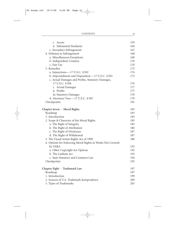| i. Access                                                  | 159 |
|------------------------------------------------------------|-----|
| ii. Substantial Similarity                                 | 160 |
| c. Secondary Infringement                                  | 167 |
| 4. Defenses to Infringement                                | 168 |
| a. Miscellaneous Exceptions                                | 168 |
| b. Independent Creation                                    | 170 |
| c. Fair Use                                                | 170 |
| 5. Remedies                                                | 173 |
| a. Injunctions - 17 U.S.C. § 502                           | 174 |
| b. Impoundment and Disposition-17 U.S.C. §503              | 175 |
| c. Actual Damages and Profits, Statutory Damages,          |     |
| 17 U.S.C. § 504                                            | 176 |
| i. Actual Damages                                          | 177 |
| ii. Profits                                                | 177 |
| iii. Statutory Damages                                     | 178 |
| d. Attorneys' Fees-17 U.S.C. § 505                         | 179 |
| Checkpoints                                                | 181 |
| Chapter Seven · Moral Rights                               | 183 |
| Roadmap                                                    | 183 |
| 1. Introduction                                            | 183 |
| 2. Scope & Character of the Moral Rights                   | 185 |
| a. The Right of Integrity                                  | 185 |
| b. The Right of Attribution                                | 186 |
| c. The Right of Disclosure                                 | 187 |
| d. The Right of Withdrawal                                 | 187 |
| 3. The Visual Artists Rights Act of 1990                   | 188 |
| 4. Options for Enforcing Moral Rights in Works Not Covered |     |
| by VARA                                                    | 192 |
| a. Other Copyright Act Options                             | 192 |
| b. The Lanham Act                                          | 192 |
| c. State Statutory and Common Law                          | 194 |
| Checkpoints                                                | 195 |
| Chapter Eight · Trademark Law                              | 197 |
| Roadmap                                                    | 197 |
| 1. Introduction                                            | 199 |
| 2. Sources of U.S. Trademark Jurisprudence                 | 200 |
| 3. Types of Trademarks                                     | 203 |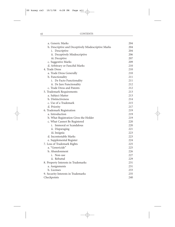| a. Generic Marks                                    | 204 |
|-----------------------------------------------------|-----|
| b. Descriptive and Deceptively Misdescriptive Marks | 204 |
| i. Descriptive                                      | 204 |
| ii. Deceptively Misdescriptive                      | 206 |
| iii. Deceptive                                      | 207 |
| c. Suggestive Marks                                 | 209 |
| d. Arbitrary or Fanciful Marks                      | 210 |
| 4. Trade Dress                                      | 210 |
| a. Trade Dress Generally                            | 210 |
| b. Functionality                                    | 211 |
| i. De Facto Functionality                           | 211 |
| ii. De Jure Functionality                           | 212 |
| c. Trade Dress and Patents                          | 212 |
| 5. Trademark Requirements                           | 213 |
| a. Subject Matter                                   | 213 |
| b. Distinctiveness                                  | 214 |
| c. Use of a Trademark                               | 215 |
| d. Priority                                         | 217 |
| 6. Trademark Registration                           | 219 |
| a. Introduction                                     | 219 |
| b. What Registration Gives the Holder               | 219 |
| c. What Cannot Be Registered                        | 220 |
| Immoral or Scandalous<br>i.                         | 220 |
| ii. Disparaging                                     | 221 |
| iii. Insignia                                       | 223 |
| d. Incontestable Marks                              | 223 |
| e. Supplemental Register                            | 224 |
| 7. Loss of Trademark Rights                         | 225 |
| a. "Genericide"                                     | 225 |
| b. Abandonment                                      | 226 |
| i. Non-use                                          | 227 |
| ii. Rebuttal                                        | 229 |
| 8. Property Interests in Trademarks                 | 231 |
| a. Assignments                                      | 231 |
| b. Licenses                                         | 233 |
| 9. Security Interests in Trademarks                 | 235 |
| Checkpoints                                         | 240 |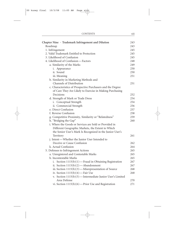| <b>CONTENTS</b> | X111 |
|-----------------|------|
|                 |      |

| Chapter Nine · Trademark Infringement and Dilution          | 243 |
|-------------------------------------------------------------|-----|
| Roadmap                                                     | 243 |
| 1. Infringement                                             | 245 |
| 2. Valid Trademark Entitled to Protection                   | 245 |
| 3. Likelihood of Confusion                                  | 245 |
| 4. Likelihood of Confusion-Factors                          | 248 |
| a. Similarity of the Marks                                  | 249 |
| i. Appearance                                               | 250 |
| ii. Sound                                                   | 250 |
| iii. Meaning                                                | 251 |
| b. Similarity in Marketing Methods and                      |     |
| Channels of Distribution                                    | 251 |
| c. Characteristics of Prospective Purchasers and the Degree |     |
| of Care They Are Likely to Exercise in Making Purchasing    |     |
| Decisions                                                   | 252 |
| d. Strength of Mark or Trade Dress                          | 254 |
| i. Conceptual Strength                                      | 254 |
| ii. Commercial Strength                                     | 256 |
| e. Direct Confusion                                         | 257 |
| f. Reverse Confusion                                        | 258 |
| g. Competitive Proximity, Similarity or "Relatedness"       | 259 |
| h. "Bridging the Gap"                                       | 260 |
| i. Where the Goods or Services are Sold or Provided in      |     |
| Different Geographic Markets, the Extent to Which           |     |
| the Senior User's Mark Is Recognized in the Junior User's   |     |
| Territory                                                   | 261 |
| j. Intent—Whether the Junior User Intended to               |     |
| Deceive or Cause Confusion                                  | 262 |
| k. Actual Confusion                                         | 264 |
| 5. Defenses to Infringement Actions                         | 265 |
| a. Unregistered and Contestable Marks                       | 265 |
| b. Incontestable Marks                                      | 265 |
| i. Section $1115(b)(1)$ - Fraud in Obtaining Registration   | 267 |
| ii. Section 1115(b)(2)-Abandonment                          | 267 |
| iii. Section $1115(b)(3)$ - Misrepresentation of Source     | 268 |
| iv. Section $1115(b)(4)$ —Fair Use                          | 268 |
| v. Section $1115(b)(5)$ —Intermediate Junior User's Limited |     |
| Area Defense                                                | 270 |
| vi. Section $1115(b)(6)$ —Prior Use and Registration        | 271 |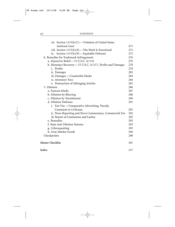| vii. Section 1115(b)(7) - Violation of United States         |     |
|--------------------------------------------------------------|-----|
| Antitrust Laws                                               | 271 |
| viii. Section $1115(b)(8)$ —The Mark Is Functional           | 272 |
| ix. Section $1115(b)(9)$ —Equitable Defenses                 | 272 |
| 6. Remedies for Trademark Infringement                       | 276 |
| a. Injunctive Relief-15 U.S.C. §1116                         | 276 |
| b. Monetary Recovery - 15 U.S.C. § 1117, Profits and Damages | 278 |
| i. Profits                                                   | 279 |
| ii. Damages                                                  | 282 |
| iii. Damages - Counterfeit Marks                             | 284 |
| iv. Attorneys' Fees                                          | 284 |
| v. Destruction of Infringing Articles                        | 285 |
| 7. Dilution                                                  | 286 |
| a. Famous Marks                                              | 287 |
| b. Dilution by Blurring                                      | 288 |
| c. Dilution by Tarnishment                                   | 290 |
| d. Dilution Defenses                                         | 291 |
| i. Fair Use - Comparative Advertising, Parody,               |     |
| Comment or Criticism                                         | 291 |
| ii. News Reporting and News Commentary, Commercial Use       | 292 |
| iii. Statute of Limitations and Laches                       | 292 |
| e. Remedies                                                  | 293 |
| f. State Anti Dilution Statutes                              | 293 |
| g. Cybersquatting                                            | 295 |
| h. Gray Market Goods                                         | 296 |
| Checkpoints                                                  | 298 |
| <b>Master Checklist</b>                                      | 301 |
| Index                                                        | 317 |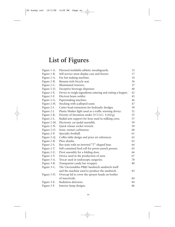# **List of Figures**

| Figure 1-A. | Flavored moldable athletic mouthguards.                    | 15 |
|-------------|------------------------------------------------------------|----|
| Figure 1-B. | Self-service meat display case and freezer.                | 17 |
| Figure 2-A. | Fur hat making machine.                                    | 34 |
| Figure 2-B. | Banana-style bicycle seat.                                 | 36 |
| Figure 2-C. | Illuminated tweezers.                                      | 37 |
| Figure 2-D. | Deceptive beverage dispenser.                              | 40 |
| Figure 2-E. | Device to weigh ingredients entering and exiting a hopper. | 42 |
| Figure 2-F. | Electron beam welder.                                      | 45 |
| Figure 2-G. | Papermaking machine.                                       | 46 |
| Figure 2-H. | Stocking with scalloped seam.                              | 47 |
| Figure 2-I. | Cutter head extensions for hydraulic dredges.              | 50 |
| Figure 2-J. | Plastic blinker light used as a traffic warning device.    | 52 |
| Figure 2-K. | Priority of Invention under 35 U.S.C. $$102(g)$            | 55 |
| Figure 2-L. | Radial arm support for hose used in milking cows.          | 57 |
| Figure 2-M. | Electronic car-pedal assembly.                             | 59 |
| Figure 2-N. | Quick release socket wrench.                               | 59 |
| Figure 2-O. | Sonic venturi carburetor.                                  | 60 |
| Figure 2-P. | Specialty football.                                        | 61 |
| Figure 2-Q. | Coffee table design and prior art references.              | 62 |
| Figure 2-R. | Plow shanks.                                               | 63 |
| Figure 2-S. | Bus seats with an inverted "T"-shaped base.                | 64 |
| Figure 2-T. | Self-contained feed roll for power punch presses.          | 65 |
| Figure 2-U. | Pivot assembly for a folding door.                         | 66 |
| Figure 2-V. | Device used in the production of yarn.                     | 67 |
| Figure 3-A. | Trocar used in endoscopic surgeries.                       | 78 |
| Figure 3-B. | Transparent candy bar wrapper.                             | 80 |
| Figure 3-C. | The Uncrustables PB&J Sandwich sandwich itself             |    |
|             | and the machine used to produce the sandwich.              | 83 |
| Figure 3-D. | Overcap lid to cover the sprayer heads on bottles          |    |
|             | of insecticide.                                            | 84 |
| Figure 3-E. | Radiation detectors.                                       | 84 |
| Figure 3-F. | Interior lamp designs.                                     | 86 |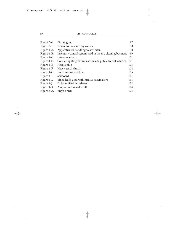| Figure 3-G. | Biopsy gun.                                                   | 87  |
|-------------|---------------------------------------------------------------|-----|
| Figure 3-H. | Device for vulcanizing rubber.                                | 88  |
| Figure 4-A. | Apparatus for handling waste water.                           | 98  |
| Figure 4-B. | Inventory control system used in the dry cleaning business.   | 99  |
| Figure 4-C. | Intraocular lens.                                             | 101 |
| Figure 4-D. | Cornice lighting fixture used inside public transit vehicles. | 101 |
| Figure 4-E. | Hernia plug.                                                  | 103 |
| Figure 4-F. | Heavy-truck clutch.                                           | 104 |
| Figure 4-G. | Fish-canning machine.                                         | 105 |
| Figure 4-H. | Sailboard.                                                    | 111 |
| Figure 4-I. | Tined leads used with cardiac pacemakers.                     | 111 |
| Figure 4-J. | Balloon dilation catheter.                                    | 112 |
| Figure 4-K. | Amphibious marsh craft.                                       | 114 |
| Figure 5-A. | Bicycle rack.                                                 | 125 |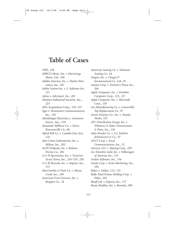### **Table of Cases**

199Z, 238 *ABKCO Music, Inc. v. Harrisongs Music, Ltd.*, 160 *Adidas America, Inc. v. Payless Shoesource, Inc.*, 287 *Adobe System Inc. v. S. Software Inc.*, 127 *Adray v. Adrymart, Inc., 281* Advance Industrial Security, Inc., 223 AEG Acquisition Corp., 136–137 *Agee v. Paramount Communications, Inc.*, 150 *Aktiebolaget Electrolux v. Armatron Intern.*, Inc., 279 *Alexander Milburn Co. v. Davis-Bournonville Co.*, 60 *Alfred Bell Co. v. Catalda Fine Arts*, 124 *Aloe Crème Laboratories, Inc. v. Milsan, Inc.*, 205 *ALPO Petfoods, Inc. v. Ralston Purina Co.*, 281 *A & H Sportswear, Inc. v. Victoria's Secret Stores, Inc.*, 254–255, 258 *A & M Records, Inc. v. Napster, Inc.*, 153 *Abercrombie & Fitch Co. v. Moose Creek, Inc.*, 249 *American Fruit Growers, Inc. v. Brogdex Co.*, 34

*American Seating Co. v. National Seating Co.*, 64 *Amgen, Inc. v. Chugai Pharmaceutical Co., Ltd.*, 81 *Amstar Corp. v. Domino's Pizza, Inc.*, 264 *Apple Computer, Inc. v. Franklin Computer Corp.*, 123, 127 *Apple Computer, Inc. v. Microsoft Corp.*, 128 *Aro Manufacturing Co. v. Convertible Top Replacement Co.*, 97 *Arrow Fastener Co., Inc. v. Stanley Works*, 253 *ATC Distribution Group, Inc. v. Whatever It Takes Transmissions & Parts, Inc.*, 126 *Atlas Powder Co. v. E.I. DuPont deNemourst & Co.*, 97 *AT&T Corp. v. Excel Communications, Inc.*, 32 *Attrezzi, LLC v. Maytag Corp.*, 259 *Au-Tomotive Gold, Inc. v. Volkswagen of America, Inc.*, 213 *Avalon Software, Inc.*, 136 *Aveda Corp. v. Evita Marketing, Inc.*, 250 *Baker v. Selden*, 123, 125 *Bally Total Fitness Holding Corp. v. Faber*, 292 *Banff Ltd. v. Express, Inc.*, 177 *Banjo Buddies, Inc. v. Renosky*, 280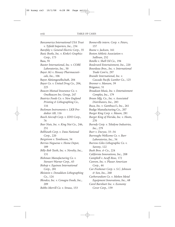*Barcamerica International USA Trust v. Tyfield Importers, Inc.*, 234 *Barofsky v. General Electric Corp.*, 35 *Basic Books, Inc. v. Kinko's Graphics Corp.*, 173 Bass, 91 *Baxter International, Inc. v. COBE Laboratories, Inc.*, 50 *Bayer AG v. Housey Pharmaceuticals, Inc.*, 106 Bayer Aktiengesellschaft, 204 *Bayer Co. v. United Drug Co.*, 204, 225 *Beacon Mutual Insurance Co. v. OneBeacon Ins. Group*, 247 *Beatrice Foods Co. v. New England Printing & Lithographing Co.*, 116 *Beckman Instruments v. LKB Produkter AB*, 116 *Beech Aircraft Corp. v. EDO Corp.*, 76 *Beer Nuts, Inc. v. King Nut Co.*, 246, 251 *BellSouth Corp. v. Data National Corp.*, 220 *Bergstrom v. Tomlinson*, 54 *Berrios Nogueras v. Home Depot*, 189 *Billy-Bob Teeth, Inc. v. Novelty, Inc.*, 131 *Bishman Manufacturing Co. v. Stewart-Warner Corp.*, 65 *Bishop v. Equinox International Corp.*, 281 *Bleistein v. Donaldson Lithographing Co.*, 124 *Blendco, Inc. v. Conagra Foods, Inc.*, 209 *Bobbs-Merrill Co. v. Straus*, 153

*Bonneville intern. Corp. v. Peters*, 157 *Boone v. Jackson*, 161 *Boston Athletic Association v. Sullivan*, 252 *Botello v. Shell Oil Co.*, 194 *Boulevard Entertainment, Inc.*, 220 *Bourdeau Bros., Inc. v. International Trade Com'n*, 297 *Brandir International, Inc. v. Cascade Pacific Lumber Co.*, 125 *Brenner v. Manson*, 39 Brigance, 51 *Broadcast Music, Inc. v. Entertainment Complex, Inc.*, 179 *Broan Mfg. Co., Inc. v. Associated Distributors, Inc.*, 283 *Buca, Inc. v. Gambucci's, Inc.*, 261 Budge Manufacturing Co., 207 *Burger King Corp. v. Mason*, 281 *Burger King of Florida, Inc. v. Hoots*, 270 *Burndy Corp. v. Teledyne Industries, Inc.*, 279 *Burr v. Duryee*, 33–34 *Burroughs Wellcome Co. v. Barr Laboratories, Inc.*, 54 *Burrow-Giles Lithographic Co. v. Sarony*, 122 *Bush Bros. & Co.*, 224 *California Innovations, Inc.*, 208 *Campbell v. Acuff-Rose*, 172 *Canron, Inc. v. Plasser American Corp.*, 44 *Car-Freshener Corp. v. S.C. Johnson & Son, Inc.*, 268 *Carborundum Co. v. Molten Metal Equipment Innovations, Inc.*, 68 *Carol Barnhart Inc. v. Economy Cover Corp.*, 159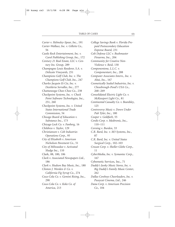*Carter v. Helmsley-Spear, Inc.*, 191 *Carter-Wallace, Inc. v. Gillette Co.,* 56 *Castle Rock Entertainment, Inc. v. Carol Publishing Group, Inc.*, 172 *Century 21 Real Estate, LLC v. Century Ins. Group*, 289 *Champagne Louis Roederer, S.A. v. Delicato Vineyards*, 251 *Champions Golf Club, Inc. v. The Champions Golf Club, Inc.*, 247 *Charles Jacquin Et Cie, Inc. v. Destileria Serralles, Inc.*, 277 *Chattanooga Choo-Choo Co.*, 238 *Checkpoint Systems, Inc. v. Check Point Software Technologies, Inc.*, 251, 260 *Checkpoint Systems, Inc. v. United States International Trade Commission*, 54 *Chicago Board of Education v. Substance Inc.*, 173 *Chicago Lock Co. v. Fanberg*, 16 *Childress v. Taylor*, 129 *Christianson v. Colt Industries Operations Corp.*, 95 *City of Elizabeth v. American Nicholson Pavement Co.*, 51 *City of Milwaukee v. Activated Sludge Inc.*, 110 Clark, 88, 180, 186 *Clark v. Associated Newspapers Ltd.*, 186 *Clark v. Hudson Bay Music, Inc.*, 180 *Clinton J. Worden & Co. v. California Fig Syrup Co.*, 274 *Coca-Cola Co. v. Gemini Rising, Inc.*, 290 *Coca-Cola Co. v. Koke Co. of America*, 213

*College Savings Bank v. Florida Prepaid Postsecondary Education Expense Board*, 231 *Colt Defense LLC v. Bushmaster Firearms, Inc.*, 204 *Community for Creative Non-Violence v. Reid*, 130 *Componentone, L.L.C. v. Componentart, Inc.*, 288 *Computer Associates Intern., Inc. v. Altai, Inc.*, 167 *Cosmetically Sealed Industries, Inc. v. Chesebrough-Pond's USA Co.*, 268–269 *Consolidated Electric Light Co. v. McKeesport Light Co.*, 81 *Continental Casualty Co. v. Beardsley*, 125 *Controversy Music v. Down Under Pub Tyler, Inc.*, 180 *Cooper v. Goldfarb*, 55 *Cordis Corp. v. Medtronic, Inc.*, 110–111 *Corning v. Burden*, 33 *C.R. Bard, Inc. v. M3 Systems, Inc.*, 87 *C.R. Bard, Inc. v. United States Surgical Corp.*, 102–103 *Crocan Corp. v. Sheller-Globe Corp.*, 11 *CyberMedia, Inc. v. Symantec Corp.*, 167 Cybernetic Services, Inc., 71 *Daddy's Junky Music Stores, Inc. v. Big Daddy's Family Music Center*, 262 *Dallas Cowboys Cheerleaders, Inc. v. Pussycat Cinema, Ltd.*, 246 *Dana Corp. v. American Precision Co.*, 104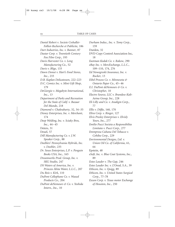| Daniel Robert v. Societe Crehallet-    |
|----------------------------------------|
| Folliot-Recherche et Publicite, 186    |
| Dart Industries, Inc. v. Banner, 87    |
| Dastar Corp. v. Twentieth Century      |
| Fox Film Corp., 193                    |
| Davis Harvester Co. v. Long            |
| Manufacturing Co., 52                  |
| Davis v. Blige, 133                    |
| Dawn Donut v. Hart's Food Stores,      |
| Inc., 233                              |
| D.B. Kaplan Delicatessen, 222-223      |
| D.C. Comics Inc. v. Mini Gift Shop,    |
| 179                                    |
| DeGiorgio v. Megabyte International,   |
| Inc., 13                               |
| Department of Parks and Recreation     |
| for the State of Calif. v. Bazaar      |
| Del Mundo, 218                         |
| Diamond v. Chakrabarty, 32, 34-35      |
| Disney Enterprises, Inc. v. Merchant,  |
|                                        |
| 174                                    |
| Deep Welding, Inc. v. Sciaky Bros,     |
| Inc., 44-45                            |
| Deters, 31                             |
| Deuel, 57                              |
| Dill Manufacturing Co. v. J.W.         |
| Speaker Corp., 88                      |
| Doeblers' Pennsylvania Hybrids, Inc.   |
| v. Doebler, 235                        |
| Dr. Seuss Enterprises, L.P. v. Penguin |
| Books USA, Inc., 165                   |
| Dreamwerks Prod. Group, Inc. v.        |
| SKG Studio, 247                        |
| DS Waters of America, Inc. v.          |
| Princess Abita Water, L.L.C., 207      |
| Du Bois v. Kirk, 110                   |
| DuPont Cellophane Co. v. Waxed         |
| Products Co., 204                      |
| DuPont deNemours & Co. v. Yoshida      |

*Durham Indus., Inc. v. Tomy Corp.*, 159 Durden, 32 DVD Copy Control Association Inc, 18 *Eastman Kodak Co. v. Rakow*, 290 *eBay Inc. v. MercExchange, L.L.C.*, 109–110, 174, 276 *Ed Nowogroski Insurance, Inc. v. Rucker*, 13 *Eibel Process Co. v. Minnesota & Ontario Paper Co.*, 45– 46 *E.I. DuPont deNemours & Co. v. Christopher*, 10 *Electro Source, LLC v. Brandess-Kalt-Aetna Group, Inc.*, 228 *Eli Lilly and Co. v. Aradigm Corp.*, 77 *Ellis v. Diffie*, 160, 170 *Eltra Corp. v. Ringer*, 127 *Elvis Presley Enterprises v. Elvisly Yours, Inc.*, 277 *Emilio Pucci Societa a Responsibilita Limitata v. Pucci Corp.*, 277 *Emmpresa Cubana Del Tobacco v. Cohiba Corp.*, 229 *Environmental Designs, Ltd. v. Union Oil Co. of California*, 61, 64 Epstein, 48 *eSoft, Inc. v. Blue Coat Systems, Inc.*, 89 *Estee Lauder v. The Gap*, 246 *Estee Lauder Inc. v. L'Oreal, S.A.*, 39 *Ethicon, Inc. v. Quigg*, 89 *Ethicon, Inc. v. United States Surgical Corp.*, 77–78 *Exxon Corp. v. Texas motor Exchange of Houston, Inc.*, 250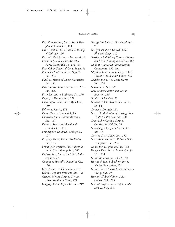*Feist Publications, Inc. v. Rural Telephone Service Co.*, 124 *F.E.L. Publ'n, Ltd. v. Catholic Bishop of Chicago*, 156 *Ferranti Electric, Inc. v. Harwood*, 18 *Festo Corp. v. Shoketsu Kinzoku Kogyo Kabushiki Co., Ltd.*, 84 *Fina Oil & Chemical Co. v. Ewen*, 76 *Financial Matters, Inc. v. PepsiCo*, *Inc.*, 233 *Flack v. Friends of Queen Catherine Inc.*, 191 *Flow Control Industries Inc. v. AMHI Inc.*, 276 *Frito-Lay, Inc. v. Bachman Co.*, 270 *Fogerty v. Fantasy, Inc.*, 179 *Folio Impressions, Inc. v. Byer Cal.*, 159 *Folsom v. Marsh*, 171 *Fonar Corp. v. Domenick*, 159 *Fonovisa, Inc. v. Cherry Auction, Inc.*, 167 *Foster v. American Machine & Foundry Co.*, 111 *Francklyn v. Guilford Packing Co.*, 107 *Freeplay Music, Inc. v. Cox Radio, Inc.*, 193 *Frehling Enterprises, Inc. v. International Select Group, Inc.*, 263 *Fuddruckers, Inc. v. Doc's B.R. Others, Inc.*, 275 *Galiano v. Harrah's Operating Co.*, 126 *Garrett Corp. v. United States*, 77 *Geisel v. Poynter Products, Inc.*, 195 *General Motors Corp. v. Gibson Chemical & Oil Corp.*, 271 *Geoffrey, Inc. v. Toys R Us, Inc.*, 219

*George Basch Co. v. Blue Coral, Inc.*, 281 *Georgia-Pacific v. United States Plywood Corp.*, 115 *Gershwin Publishing Corp. v. Columbia Artists Management, Inc.*, 167 *Gilliam v. American Broadcasting Companies*, 152, 194 *Glendale International Corp. v. U.S. Patent & Trademark Office*, 206 *Golight, Inc. v. Wal-Mart Stores*, Inc., 114 *Goodman v. Lee*, 129 *Gore & Associates v. Johnson & Johnson*, 250 *Gould v. Schawlow*, 33 *Graham v. John Deere Co.*, 56, 63, 83–84 *Grauer v. Deutsch*, 191 *Graver Tank & Manufacturing Co. v. Linde Air Products Co.*, 100 *Great Lakes Carbon Corp. v. Continental Oil Co.*, 16 *Greenberg v. Croydon Plastics Co., Inc.*, 15 *Gucci v. Gucci Shops, Inc.*, 277 *Gucci America, Inc. v. Rebecca Gold Enterprises, Inc.*, 284 *Gund, Inc. v. Applause, Inc.*, 162 *Haagen-Dazs, Inc. v. Frusen Gladje Ltd.*, 274 *Hamil America Inc. v. GFI*, 162 *Harper & Row Publishers, Inc. v. Nation Enterprises*, 171 *Hasbro, Inc. v. Internet Entertainment Group, Ltd.*, 290 *Havana Club Holdings, S.A. v. Galleon S.A.*, 275 *H-D Michigan, Inc. v. Top Quality Service, Inc.*, 254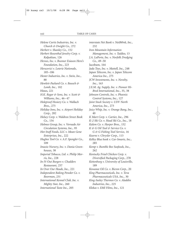*Helene Curtis Industries, Inc. v. Church & Dwight Co.*, 272 *Herbert v. Shanley Co.*, 152 *Herbert Rosenthal Jewelry Corp. v. Kalpakian*, 126 *Heroes, Inc. v. Boomer Esiason Hero's Foundation, Inc.*, 223 *Herscovici v. Loterie Nationale*, 185–186 *Hester Industries, Inc. v. Stein, Inc.*, 88 *Hewlett-Packard Co. v. Bausch & Lomb, Inc.*, 102 Hines, 221 *H.K. Regar & Sons, Inc. v. Scott & Williams, Inc.*, 46-47 *Holeproof Hosiery Co. v. Wallach Bros.*, 275 *Holiday Inns, Inc. v. Airport Holiday Corp.*, 282 *Holsey Corp. v. Waldron Street Book Co.*, 154 *Holmes Group, Inc. v. Vornado Air Circulation Systems, Inc.*, 95 *Hot Stuff Foods, LLC v. Mean Gene Enterprises, Inc.*, 222 *Hughes Tool Co. v. A.F. Spengler Co.*, 109 *Imazio Nursery, Inc. v. Dania Greenhouses*, 38 *Imperial Tobacco, Ltd. v. Philip Morris, Inc.*, 228 *In-N-Out Burgers v. Chadders Restaurant*, 257 *In Over Our Heads, Inc.*, 221 *Independent Baking Powder Co. v. Boorman*, 231 *International Kennel Club, Inc. v. Mighty Star, Inc.*, 260 *International Taste Inc.*, 205

*interstate Net Bank v. NetB@nk, Inc.*, 232 *Iron Mountain Information Management, Inc. v. Taddeo,* 13 *J.A. LaPorte, Inc. v. Norfolk Dredging Co.*, 49–50 Jacobsen, 164 *Jada Toys, Inc. v. Mattell, Inc.*, 248 *Japan Telecom, Inc. v. Japan Telecom America Inc.*, 275 *JCW Investments, Inc. v. Novelty, Inc.*, 163 *J.E.M. Ag. Supply, Inc. v. Pioneer Hi-Bred International, Inc.*, 35, 38 *Johnson Controls, Inc. v. Phoenix Control Systems, Inc.*, 127 *Joint Stock Society v. UDV North America, Inc.*, 273 *Juicy Whip, Inc. v. Orange Bang, Inc.*, 40 *K Mart Corp. v. Cartier, Inc.*, 296 *K-2 Ski Co. v. Head Ski Co., Inc.*, 18 *Kalem Co. v. Harper Bros.*, 152 *K & G Oil Tool & Service Co. v. G & G Fishing Tool Service*, 16 *Kearns v. Chrysler Corp.*, 113 *Kelley Blue book v. Car-Smarts, Inc.*, 285 *Kemp v. Bumble Bee Seafoods, Inc.*, 262 *Kentucky Fried Chicken Corp. v. Diversified Packaging Corp.*, 278 *Kettenburg v. University of Louisville*, 189 *Kewanee Oil Co. v. Bicron Corp.*, 20 *King Pharmaceuticals, Inc. v. Teva Pharmaceuticals USA, Inc.*, 30 *King-Seeley Thermos Co. v. Aladdin Industries, Inc.*, 225 *Klekas v. EMI Films, Inc.*, 121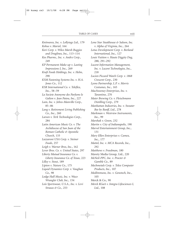*Knitwaves, Inc. v. Lollytogs Ltd.*, 179 *Kohus v. Mariol*, 164 *Kori Corp. v. Wilco Marsh Buggies and Draglines, Inc.*, 113–114 *Kos Pharms., Inc. v. Andrx Corp.*, 249 *KP Permanent Make-up v. Lasting Impressions I, Inc.*, 269 *Kraft Foods Holdings, Inc. v. Helm*, 290 *KSM Fastening Systems Inc. v. H.A. Jones Co.*, 112 *KSR International Co. v. Teleflex, Inc.*, 58–59 *La Societe Anonyme des Parfums le Galion v. Jean Patou, Inc.*, 227 *Lam, Inc. v. Johns-Manville Corp.*, 85–86 *Lang v. Retirement Living Publishing Co., Inc.*, 260 *Larsen v. Terk Technologies Corp.*, 284 *Latin American Music Co. v. The Archdiocese of San Juan of the Roman Catholic & Apostolic Church*, 133 *Lazzaroni USA Corp. v. Steiner Foods*, 257 *Leigh v. Warner Bros, Inc.*, 162 *Lever Bros. Co. v. United States*, 297 *Liberty Mutual Insurance Co. v. Liberty Insurance Co. of Texas*, 223 *Lilley v. Stout*, 189 *Lipton v. Nature Co.*, 175 *Liquid Dynamics Corp. v. Vaughan Co.*, 98 *Lodge Hall Music, Inc. v. Waco Wrangler Club, Inc.*, 154 *Lois Sportswear, U.S.A., Inc. v. Levi Strauss & Co.*, 253

*Lone Star Steakhouse & Saloon, Inc. v. Alpha of Virginia, Inc.*, 264 *Lotus Development Corp. v. Borland International, Inc.*, 127 *Louis Vuitton v. Haute Diggity Dog*, 288, 291–292 *Lucent Information Management, Inc. v. Lucent Technologies, Inc.*, 218 *Lucien Piccard Watch Corp. v. 1868 Crescent Corp.*, 230 *Lyons Partnership, L.P. v. Morris Costumes, Inc.*, 165 *MacSweeney Enterprises, Inc. v. Tarantino*, 270 *Maier Brewing Co. v. Fleischmann Distilling Corp.*, 279 *Manhattan Industries, Inc. v. Sweater Bee by Banff, Ltd.*, 278 *Markman v. Westview Instruments, Inc.*, 99 *Marshak v. Green*, 232 *Martin v. City of Indianapolis*, 190 *Marvel Entertainment Group, Inc.*, 131 *Mary Ellen Enterprises v. Camex, Inc.*, 177 *Mattel, Inc. v. MCA Records, Inc.*, 292 *Matthews v. Freedman*, 180 Mavety Media Group, Ltd., 220 *McNeil-PPC, Inc. v. Procter & Gamble Co.*, 89 *Mechmetals Corp. v. Telex Computer Products, Inc.*, 107 *MedImmune, Inc. v. Genetech, Inc.*, 105 Merck & Co., 90 *Merck KGaA v. Integra Lifesciences I, Ltd.*, 108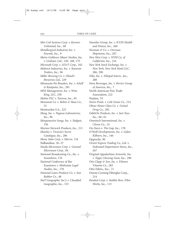*Met-Coil Systems Corp. v. Korners Unlimited, Inc.*, 68 *Metallurgical Industries Inc. v. Fourtek, Inc.*, 9 *Metro-Goldwyn-Mayer Studios, Inc. v. Grokster, Ltd.*, 149, 168, 175 *Microsoft Corp. v. AT&T Corp.*, 102 *Midwest Industries, Inc. v. Karavan Trailers, Inc.*, 96 *Miller Brewing Co. v. Oland's Breweries Ltd.*, 229 *Minnesota Pet Breeders, Inc. v. Schell & Kampeter, Inc.*, 281 *MNI Management, Inc. v. Wine King, LLC*, 258 *Molins PLC v. Textron, Inc.*, 85 *Monsanto Co. v. Rohm & Haas Co.*, 53 Montrachet S.A., 225 *Moog, Inc. v. Pegasus Laboratories, Inc.*, 96 *Morganactive Songs, Inc. v. Padgett*, 156 *Morton-Norwich Products, Inc.*, 211 *Moseley v. Victoria's Secret Catalogue, Inc.*, 286 *Music Sales Corp. v. Morris*, 134 Nalbandian, 36–37 *Narda Microwave Corp. v. General Microwave Corp.*, 84 *National Broadcasting Co., Inc. v. Sonneborn*, 176 *National Conference of Bar Examiners v. Multistate Legal Studies, Inc.*, 178 *National Latex Products Co. v. Sun Rubber Co.*, 48 *Nat'l Geographic Soc'y v. Classified Geographic, Inc.*, 153

*Nautilus Group, Inc. v. ICON Health and Fitness, Inc.*, 260 *Neuman & Co. v. Overseas Shipments, Inc.*, 207 *New West Corp. v. NYM Co. of California, Inc.*, 216 *New York Stock Exchange, Inc. v. New York, New York Hotel LLC*, 286, 290 *Nike, Inc. v. Nikepal Intern., Inc.*, 288 *Nora Beverages, Inc. v. Perrier Group of America, Inc.*, 7 North American Free Trade Association, 222 Nuijten, 35 *Nutro Prods. v. Cole Grain Co.*, 214 *Obear-Nester Glass Co. v. United Drug Co.*, 282 *OddzOn Products, Inc. v. Just Toys,* Inc.,  $60 - 61$ *Omnitech International, Inc. v. Clorox Co.*, 14 *On Davis v. The Gap, Inc.*, 178 *O'Neill Developments, Inc. v. Galen Kilburn, Inc.*, 146 Opprecht, 90 *Orient Express Trading Co., Ltd. v. Federated Department Stores, Inc.*, 267 *Original Appalachian Artworks, Inc. v. Topps Chewing Gum, Inc.*, 290 *Otis Clapp & Son, Inc. v. Filmore Vitamin Co.*, 283 Otto Fabric, Inc., 71 Owens-Corning Fiberglas Corp., 214 *Panduit Corp. v. Stahlin Bros. Fibre Works, Inc.*, 113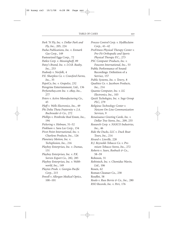*Park 'N Fly, Inc. v. Dollar Park and Fly, Inc.*, 205, 224 *Pasha Publications, Inc. v. Enmark Gas Corp.*, 149 Pasteurized Eggs Corp., 72 *Patlex Corp. v. Mossinghoff*, 89 *Patsy's Brand, Inc. v. I.O.B. Realty, Inc.*, 253 *Peabody v. Norfolk*, 4 *P.E. Sharpless Co. v. Crawford Farms, Inc.*, 35 *PepsiCo, Inc. v. GrapeIce*, 232 Peregrine Entertainment, Ltd., 136 *Perfumebay.com Inc. v. eBay, Inc.*, 277 *Peters v. Active Manufacturing Co.*, 45 *Pfaff v. Wells Electronics, Inc.*, 49 *Phi Delta Theta Fraternity v. J.A. Buchroeder & Co.*, 272 *Phillips v. Pembroke Real Estate, Inc.*, 194 *Pickering v. Holman*, 51–52 *Pinkham v. Sara Lee Corp.*, 154 *Pivot Point International, Inc. v. Charlene Products, Inc.*, 126 *Planetary Motion, Inc. v. Techsplosion, Inc.*, 216 *Playboy Enterprises, Inc. v. Dumas*, 131 *Playboy Enterprises, Inc. v. P.K. Sorren Export Co.*, 282, 285 *Playboy Enterprises, Inc. v. Webbworld, Inc.*, 149 *Playtex Prods. v. Georgia-Pacific Corp.*, 215 *Powell v. Allergan Medical Optics*, 100–101

*Process Control Corp. v. HydReclaim Corp.*, 41– 42 *ProFitness Physical Therapy Center v. Pro-Fit Orthopedic and Sports Physical Therapy P.C.*, 273 *PSC Computer Products, Inc. v. Foxconn International, Inc.*, 53 Public Performance of Sound Recordings: Definition of a Service, 157 *Public Systems, Inc. v. Towry*, 8 *Qualitex Co. v. Jacobson Products, Inc.*, 214 *Quanta Computer, Inc. v. LG Electronics, Inc.*, 103 *Quick Techologies, Inc. v. Sage Group PLC*, 279 *Religious Technology Center v. Netcom On-Line Communication Services*, 9 *Renaissance Greeting Cards, Inc. v. Dollar Tree Stores, Inc.*, 209, 255 *Research Corp. v. NASCO Industries, Inc.*, 46 *Ride the Ducks, LLC v. Duck Boat Tours, Inc.*, 214 *Rivard v. Linville*, 228 *R.J. Reynolds Tobacco Co. v. Premium Tobacco Stores, Inc.*, 272 *Roberts v. Sears, Roebuck & Co.*, 58–59 Robeson, 31 *Robintech, Inc. v. Chemidus Wavin, Ltd.*, 106 Rosen, 62 Roman Cleanser Co., 238 Rouffet, 58 *Roulo v. Russ Berrie & Co., Inc.*, 280 *RSO Records, Inc. v. Peri*, 176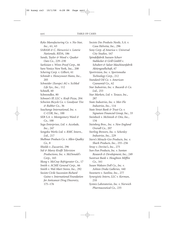*Ryko Manufacturing Co. v. Nu-Star, Inc.*, 61, 63 *SABAM & C. Herscovici v. Loterie Nationale, RIDA*, 186 *Sands, Taylor & Wood v. Quaker Oats Co.*, 229–230 *Sarkisian v. Winn-Proof Corp.*, 66 Save Venice New York, Inc., 208 *Schering Corp. v. Gilbert*, 61 *Schmidt v. Honeysweet Hams, Inc.*, 205 *Schneider (Europe) AG v. SciMed Life Sys., Inc.*, 112 Schnell, 60 Schwendler, 80 *Schwan's IP, LLC v. Kraft Pizza*, 204 *Schwinn Bicycle Co. v. Goodyear Tire & Rubber Co.*, 36 *Seachange International, Inc. v. C-COR, Inc.*, 100 *SEB S.A. v. Montgomery Ward & Co.*, 100 *Sega Enterprises, Ltd. v. Accolade, Inc.*, 247 *Sengoku Works Ltd. v. RMC Intern., Ltd.*, 217 *Shellmar Products Co. v. Allen-Qualley Co.*, 8 *Shields v. Zuccarini*, 296 *Sid & Marey Krofft Television Productions, Inc. v. McDonald's Corp.*, 165 *Skoog v. McCray Refrigerator Co.*, 17 *Smith v. ACME General Corp.*, 66 *Smith v. Wal-Mart Stores, Inc.*, 292 *Societe Civile Succession Richard Guino v. International Foundation for Anticancer Drug Discovery*, 175–176

*Societe Des Produits Nestle, S.A. v. Casa Helvetia, Inc.*, 296 *Sony Corp. of America v. Universal City Studios*, 167 *Spindelfabrik Suessen-Schurr Stahlecker & Grill GmbH v. Schubert & Salzer Maschinenfabrik Aktiengesellschaft*, 67 *Sportvision, Inc. v. Sportsmedia Technology Corp.*, 212 *Standard Oil Co. v. American Cyanamid Co.*, 62 *Star Industries, Inc. v. Bacardi & Co. Ltd.*, 253 *Star Markets, Ltd. v. Texaco, Inc.*, 287 *State Industries, Inc. v. Mor-Flo Industries, Inc.*, 114 *State Street Bank & Trust Co. v. Signature Financial Group, Inc.*, 33 *Steinbeck v. McIntosh & Otis, Inc.*, 134 *Steinberg Bros., Inc. v. New England Overall Co.*, 207 *Sterling Brewers, Inc. v. Schenley Industries, Inc.*, 229 *Stern's Miracle-Gro Products, Inc. v. Shark Products, Inc.*, 255–256 *Stray v. Devine's, Inc.*, 275 *Sun-Fun Products, Inc. v. Suntan Research & Development, Inc.*, 249 *Suntrust Bank v. Houghton Mifflin Co.*, 161 *Susan Wakeen Doll Co., Inc. v. Ashton Drake Galleries*, 160 *Sweetarts v. Sunline, Inc.*, 277 *Synergistic Intern, LLC v. Korman*, 210 *Syntex Laboratories, Inc. v. Norwich Pharmaceutical Co.*, 235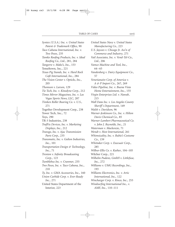| Syntex (U.S.A.) Inc. v. United States  | United States Navy v. U    |
|----------------------------------------|----------------------------|
| Patent & Trademark Office, 90          | Manufacturing Co.,         |
| Taco Cabana International, Inc. v.     | U.S. Jaycees v. Chicago    |
| Two Pesos, 235                         | Commerce and Indu          |
| Tamko Roofing Products, Inc. v. Ideal  | Vail Associates, Inc. v. V |
| Roofing Co., Ltd., 281, 284            | Ltd., 206                  |
| Tangorre v. Mako's, Inc., 153          | Vamco Machine and To       |
| Tenseltown, Inc., 221                  | $64 - 65$                  |
| Texas Pig Stands, Inc. v. Hard Rock    | Vandenberg v. Dairy Eq     |
| Café International, Inc., 284          | 57                         |
| The Vision Center v. Opticks, Inc.,    | Venetianaire Corp. of A    |
| 205                                    | A & P Import Co., 2        |
| Thomson v. Larson, 129                 | Video Pipeline, Inc. v. B  |
| Tie Tech, Inc. v. Kinedyne Corp., 212  | Home Entertainmen          |
| Times Mirror Magazines, Inc. v. Las    | Virgin Enterprises Ltd.    |
| Vegas Sports News, LLC, 287            | 215                        |
| Timken Roller Bearing Co. v. U.S.,     | Wall Data Inc. v. Los Ar   |
| 271                                    | Sheriff's Departmen        |
| Together Development Corp., 238        | Walsh v. Davidson, 96      |
| Tower Tech, Inc., 72                   | Warner-Jenkinson Co.,      |
| Toys, 290                              | Davis Chemical Co.,        |
| TR-3 Industries, 238                   | Warner-Lambert Pharr       |
| TrafFix Devices, Inc. v. Marketing     | v. John J. Reynolds, 1     |
| Displays, Inc., 212                    | Waterman v. Mackenzi       |
| Transgo, Inc. v. Ajac Transmission     | Wendt v. Host Internati    |
| Parts Corp., 235                       | Whimsicality, Inc. v. Ru   |
| Transmatic, Inc. v. Gulton Industries, | Co., 159                   |
| Inc., $101$                            | Whittaker Corp. v. Exec    |
| Transportation Design & Technology,    | 285                        |
| <i>Inc.</i> , 71                       | Wilbur-Ellis Co. v. Kuth   |
| Trenton v. Infinity Broadcasting       | Wilcher Corp., 221         |
| Corp., 123                             | Wilhelm Pudenz, Gmbl       |
| Tumblebus Inc. v. Cranmer, 255         | Inc., 272                  |
| Two Pesos, Inc. v. Taco Cabana, Inc.,  | Williams v. UMG Recor      |
| 210                                    | 193                        |
| Ty, Inc. v. GMA Accessories, Inc., 160 | Williams Electronics, In   |
| Union Carbide Corp. v. Ever-Ready      | International, Inc., 1     |
| Inc., 271                              | Wincharger Corp. v. Rii    |
| United States Department of the        | Windsurfing Internatio     |
| Interior, 223                          | AMF, Inc., 110-111         |

*United States Navy v. United States ing Co.*, 223 *U.S. Jaycees v. Chicago Jr. Ass'n of Commerce and Industry*, 271 *Inc. v. Vend-Tel-Co., Vamco Machine and Tool, Inc.*, *Vandenberg v. Dairy Equipment Co.*, *<i>Corp. of America v. A & P Import Co.*, 267, 269 *Video Pipeline, Inc. v. Buena Vista Home Entertainment, Inc.*, 155 *Virgin Enterprises Ltd. v. Nawab*, *Wall Data Inc. v. Los Angeles County Sheriff's Department*, 149 *Walsh v. Davidson,* 96 *Warner-Jenkinson Co., Inc. v. Hilton Davis Chemical Co.*, 85 *Warner-Lambert Pharmaceutical Co. v. John J. Reynolds, Inc.*, 21 *Waterman v. Mackenzie*, 71 *Wendt v. Host International*, 261 *Whimsicality, Inc. v. Rubie's Costume Whittaker Corp. v. Execuair Corp.*, *Wilbur-Ellis Co. v. Kuther*, 104–105  $221$ *Wilhelm Pudenz, GmbH v. Littlefuse, Williams v. UMG Recordings, Inc.*, *Williams Electronics, Inc. v. Artic International, Inc.*, 122 *Wincharger Corp. v. Rinco, Inc.*, 253 *Windsurfing International Inc., v.*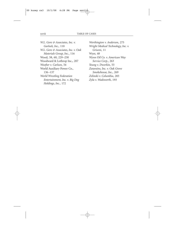*W.L. Gore & Associates, Inc. v. Garlock, Inc.*, 110 *W.L. Gore & Associates, Inc. v. Oak Materials Group, Inc.*, 116 Wood, 58, 60, 229–230 Woodward & Lothrop Inc., 207 *Woofter v. Carlson*, 54 World Auxiliary Power Co., 136–137 *World Wrestling Federation Entertainment, Inc. v. Big Dog Holdings, Inc.*, 172

*Worthington v. Anderson*, 275 *Wright Medical Technology, Inc. v. Grisoni*, 11 Wyer, 48 *Wynn Oil Co. v. American Way Service Corp.*, 263 *Young v. Dworkin*, 53 *Zatarains, Inc. v. Oak Grove Smokehouse, Inc.*, 269 *Zelinski v. Columbia*, 283 *Zyla v. Wadsworth*, 193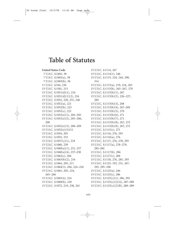### **Table of Statutes**

```
United States Code
 7 U.S.C. § 2402, 38
 7 U.S.C. § 2483(a), 38
 7 U.S.C. § 2483(b), 38
11 U.S.C. § 544, 236
15 U.S.C. § 1501, 215
15 U.S.C. § 1051(d)(1), 216
15 U.S.C. § 1051(d)(1)(2), 216
15 U.S.C. § 1052, 220, 231, 246
15 U.S.C. § 1052(a), 221
15 U.S.C. § 1052(b), 223
15 U.S.C. § 1052(c), 222
15 U.S.C. § 1052(e)(1), 204–205
15 U.S.C. § 1052(e)(2), 205–206,
  208
15 U.S.C. § 1052(e)(3), 208–209
15 U.S.C. § 1052(e)(5)211
15 U.S.C. § 1054, 205
15 U.S.C. § 1055, 233
15 U.S.C. § 1057(c)(1), 218
15 U.S.C. § 1060, 239
15 U.S.C. § 1060(a)(1), 231, 237
15 U.S.C. § 1060(a)(4), 237–238
15 U.S.C. § 1062(c), 266
15 U.S.C. § 1063(b)(2), 216
15 U.S.C. § 1064, 205, 211
15 U.S.C. § 1064(3), 204, 224–226
15 U.S.C. § 1065, 205, 224,
  265–266
15 U.S.C. § 1065(4), 224
15 U.S.C. § 1068(b), 220
15 U.S.C. § 1072, 219, 238, 261
```
15 U.S.C. § 1114, 267 15 U.S.C. § 1114(1), 246 15 U.S.C. § 1115, 224, 244, 298, 314 15 U.S.C. § 1115(a), 219, 224, 265 15 U.S.C. § 1115(b), 265–267, 270 15 U.S.C. § 1115(b)(1), 267 15 U.S.C. § 1115(b)(2), 226–227, 284 15 U.S.C. § 1115(b)(3), 268 15 U.S.C. § 1115(b)(4), 267–269 15 U.S.C. § 1115(b)(5), 270 15 U.S.C. § 1115(b)(6), 271 15 U.S.C. § 1115(b)(7), 271 15 U.S.C. § 1115(b)(8), 267, 272 15 U.S.C. § 1115(b)(9), 267, 272 15 U.S.C. § 1115(c), 271 15 U.S.C. § 1116, 276, 293 15 U.S.C. § 1116(a), 276 15 U.S.C. § 1117, 276, 278, 293 15 U.S.C. § 1117(a), 278–279, 282–284 15 U.S.C. § 1117(b), 284 15 U.S.C. § 1117(c), 284 15 U.S.C. § 1118, 276, 285, 293 15 U.S.C. § 1125, 193, 231, 267, 293, 295–296 15 U.S.C. § 1125(a), 246 15 U.S.C. § 1125(c), 286 15 U.S.C. § 1125(c)(1), 286, 292 15 U.S.C. § 1125(c)(2)(A), 287–288 15 U.S.C. § 1125(c)(2)(B), 288–289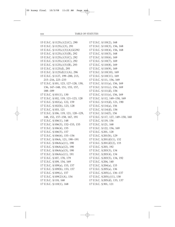15 U.S.C. § 1125(c)(2)(C), 290 15 U.S.C. § 1125(c)(3), 291 15 U.S.C. § 1125(c)(3)(A)(ii)292 15 U.S.C. § 1125(c)(3)(B), 292 15 U.S.C. § 1125(c)(3)(C), 292 15 U.S.C. § 1125(c)(4)(C), 292 15 U.S.C. § 1125(c)(5)(B), 293 15 U.S.C. § 1125(d), 295 15 U.S.C. § 1125(d)(1)(A), 296 15 U.S.C. § 1127, 199–200, 213, 215–216, 225–233 17 U.S.C. § 101, 123, 127–128, 130, 136, 147–148, 151, 155, 157, 188–189 17 U.S.C. § 101(1), 130 17 U.S.C. § 102, 119, 121–123, 128 17 U.S.C. § 102(a), 122, 159 17 U.S.C. § 102(b), 123, 128 17 U.S.C. § 103, 121 17 U.S.C. § 106, 119, 121, 128–129, 148, 152, 157–158, 167, 191 17 U.S.C. § 106(1), 148 17 U.S.C. § 106(3), 152–153, 155 17 U.S.C. § 106(4), 155 17 U.S.C. § 106(5), 157 17 U.S.C. § 106(6), 155–156 17 U.S.C. § 106A, 121, 190–191 17 U.S.C. § 106A(a)(1), 190 17 U.S.C. § 106A(a)(2), 190 17 U.S.C. § 106A(a)(3), 190 17 U.S.C. § 106A(e)(1), 191 17 U.S.C. § 107, 170, 179 17 U.S.C. § 109, 154, 169 17 U.S.C. § 109(a), 153, 157 17 U.S.C. § 109(b), 153, 157 17 U.S.C. § 109(c), 157 17 U.S.C. § 109(2)(A), 154 17 U.S.C. § 110, 168 17 U.S.C. § 110(1), 168

17 U.S.C. § 110(2), 168 17 U.S.C. § 110(3), 156, 168 17 U.S.C. § 110(4), 156, 168 17 U.S.C. § 110(5), 168 17 U.S.C. § 110(6), 169 17 U.S.C. § 110(7), 169 17 U.S.C. § 110(8), 169 17 U.S.C. § 110(9), 169 17 U.S.C. § 110(10), 169 17 U.S.C. § 110(11), 169 17 U.S.C. § 111, 156, 169 17 U.S.C. § 111(a), 156, 169 17 U.S.C. § 111(c), 156, 169 17 U.S.C. § 111(d), 156 17 U.S.C. § 111(e), 156, 169 17 U.S.C. § 112, 149–150, 169 17 U.S.C. § 113(d), 121, 190 17 U.S.C. § 114(a), 156 17 U.S.C. § 114(d), 156 17 U.S.C. § 114(f), 156 17 U.S.C. § 117, 127, 149–150, 160 17 U.S.C. § 119, 156 17 U.S.C. § 121, 168 17 U.S.C. § 122, 156, 169 17 U.S.C. § 201, 128 17 U.S.C. § 201(b), 129 17 U.S.C. § 201(d)(1), 132 17 U.S.C. § 201(d)(2), 133 17 U.S.C. § 203, 192 17 U.S.C. § 203(3), 134 17 U.S.C. § 203(4), 134 17 U.S.C. § 203(5), 134, 192 17 U.S.C. § 204, 140 17 U.S.C. § 204(a), 133 17 U.S.C. § 205(a), 136 17 U.S.C. § 205(c), 136–137 17 U.S.C. § 205(c)(1), 138 17 U.S.C. § 205(d), 133, 137 17 U.S.C. § 301, 121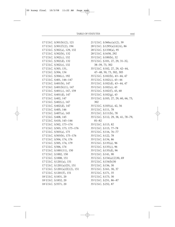17 U.S.C. § 301(b)(2), 121 17 U.S.C. § 301(f)(2), 194 17 U.S.C. § 302(a), 129, 132 17 U.S.C. § 302(b), 132 17 U.S.C. § 302(c), 132 17 U.S.C. § 302(d), 132 17 U.S.C. § 302(e), 132 17 U.S.C. § 303, 131, 17 U.S.C. § 304, 134 17 U.S.C. § 304(c), 192 17 U.S.C. § 401, 146–147 17 U.S.C. § 401(b), 147 17 U.S.C. § 401(b)(1), 147 17 U.S.C. § 401(c), 147, 159 17 U.S.C. § 401(d), 147 17 U.S.C. § 402, 147 17 U.S.C. § 402(c), 147 17 U.S.C. § 402(d), 147 17 U.S.C. § 405, 146 17 U.S.C. § 407(a), 145 17 U.S.C. § 408, 145 17 U.S.C. § 410, 145–146 17 U.S.C. § 502, 173–174 17 U.S.C. § 503, 173, 175–176 17 U.S.C. § 503(a), 175 17 U.S.C. § 503(b), 175–176 17 U.S.C. § 504, 174, 176 17 U.S.C. § 505, 174, 179 17 U.S.C. § 506, 174 17 U.S.C. § 1001(11), 150 17 U.S.C. § 1002, 150 17 U.S.C. § 1008, 151 17 U.S.C. § 1201(a), 151 17 U.S.C. § 1201(a)(D), 151 17 U.S.C. § 1201(a)(E)(2), 151 17 U.S.C. § 1201(f), 151 18 U.S.C. § 1831, 20 18 U.S.C. § 1832, 20 18 U.S.C. § 3571, 20

21 U.S.C. § 360cc(a)(2), 39 28 U.S.C. § 1295(a)(4)(A), 86 28 U.S.C. § 1338(a), 95 28 U.S.C. § 1658, 292 35 U.S.C. § 100(b), 32 35 U.S.C. § 101, 27, 29, 31–32, 38–39, 73, 302 35 U.S.C. § 102, 27, 29, 42– 44, 47– 48, 50, 73, 302, 305 35 U.S.C. § 102(b), 43– 44, 47 35 U.S.C. § 102(c), 43– 44 35 U.S.C. § 102(d), 43– 44, 47 35 U.S.C. § 102(e), 43 35 U.S.C. § 102(f), 43, 60 35 U.S.C. § 102(g), 43 35 U.S.C. § 103, 27, 29, 60, 66, 73, 302 35 U.S.C. § 103(a), 42, 56 35 U.S.C. § 111, 78 35 U.S.C. § 111(b), 78 35 U.S.C. § 112, 29, 38, 41, 78–79, 81–82 35 U.S.C. § 113, 82 35 U.S.C. § 115, 77–78 35 U.S.C. § 116, 76–77 35 U.S.C. § 122, 78 35 U.S.C. § 134, 86 35 U.S.C. § 135(a), 96 35 U.S.C. § 135(c), 96 35 U.S.C. § 135(d), 96 35 U.S.C. § 141, 90 35 U.S.C. § 154(a)(2)30, 69 35 U.S.C. § 154(b)30 35 U.S.C. § 156, 30 35 U.S.C. § 161, 30, 37 35 U.S.C. § 171, 35 35 U.S.C. § 173, 30 35 U.S.C. § 251, 86–87 35 U.S.C. § 252, 87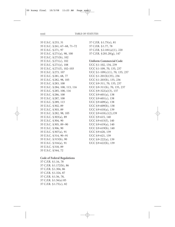35 U.S.C. § 253, 31 35 U.S.C. § 261, 67– 68, 71–72 35 U.S.C. § 271, 97 35 U.S.C. § 271(a), 98, 100 35 U.S.C. § 271(b), 102 35 U.S.C. § 271(c), 102 35 U.S.C. § 271(e), 108 35 U.S.C. § 271(f), 102–103 35 U.S.C. § 273, 107 35 U.S.C. § 281, 68, 77 35 U.S.C. § 282, 98, 105 35 U.S.C. § 283, 108 35 U.S.C. § 284, 108, 113, 116 35 U.S.C. § 285, 108, 116 35 U.S.C. § 286, 108 35 U.S.C. § 287, 108 35 U.S.C. § 289, 113 35 U.S.C. § 302, 89 35 U.S.C. § 303, 89 35 U.S.C. § 282, 98, 105 35 U.S.C. § 303(a), 89 35 U.S.C. § 304, 90 35 U.S.C. § 305, 89–90 35 U.S.C. § 306, 90 35 U.S.C. § 307(a), 91 35 U.S.C. § 314, 90–91 35 U.S.C. § 315(b), 90 35 U.S.C. § 316(a), 91 35 U.S.C. § 318, 89 35 U.S.C. § 544, 72

37 C.F.R. § 1.75(e), 81 37 C.F.R. § 1.77, 78 37 C.F.R. § 2.181(a)(1), 220 37 C.F.R. § 201.20(g), 147

#### **Uniform Commercial Code**

UCC § 1-102, 134, 239 UCC § 1-109, 70, 135, 237  $UCC \$  1-109(c)(1), 70, 135, 237 UCC § 1-201(b)(35), 236 UCC § 1-203(b), 135, 236 UCC § 9-311, 70, 135, 237 UCC § 9-311(b), 70, 135, 237 UCC § 9-322(a)(3), 137  $UCC$  § 9-601(a), 138  $UCC$  § 9-601(c), 138 UCC § 9-609(a), 138 UCC § 9-609(b), 138  $UCC$  § 9-610(a), 139  $UCC$  § 9-610(c)(2),139 UCC § 9-615, 140 UCC § 9-615(f), 140 UCC § 9-619(a), 140 UCC § 9-619(b), 140 UCC § 9-620, 139 UCC § 9-621, 139 UCC § 9-222(a), 139 UCC § 9-622(b), 139

#### **Code of Federal Regulations**

37 C.F.R. § 1.16, 78 37 C.F.R. § 1.172(b), 86 37 C.F.R. § 1.304, 86 37 C.F.R. § 1.324, 87 37 C.F.R. § 1.56, 78, 37 C.F.R. § 1.56(a) 85 37 C.F.R. § 1.75(c), 82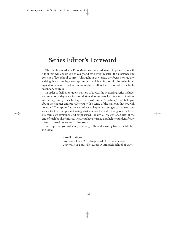## **Series Editor's Foreword**

The Carolina Academic Press Mastering Series is designed to provide you with a tool that will enable you to easily and efficiently "master" the substance and content of law school courses. Throughout the series, the focus is on quality writing that makes legal concepts understandable. As a result, the series is designed to be easy to read and is not unduly cluttered with footnotes or cites to secondary sources.

In order to facilitate student mastery of topics, the Mastering Series includes a number of pedagogical features designed to improve learning and retention. At the beginning of each chapter, you will find a "Roadmap" that tells you about the chapter and provides you with a sense of the material that you will cover. A "Checkpoint" at the end of each chapter encourages you to stop and review the key concepts, reiterating what you have learned. Throughout the book, key terms are explained and emphasized. Finally, a "Master Checklist" at the end of each book reinforces what you have learned and helps you identify any areas that need review or further study.

We hope that you will enjoy studying with, and learning from, the Mastering Series.

> Russell L. Weaver Professor of Law & Distinguished University Scholar University of Louisville, Louis D. Brandeis School of Law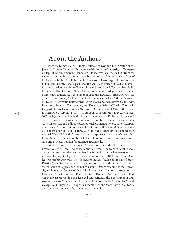### **About the Authors**

George W. Kuney is a W.P. Toms Professor of Law and the Director of the James L. Clayton Center for Entrepreneurial Law at the University of Tennessee College of Law in Knoxville, Tennessee. He received his B.A. in 1986 from the University of California at Santa Cruz, his J.D. in 1989 from Hastings College of the Law, and his MBA in 1997 from the University of San Diego. He practiced law full time until 2001, last as a partner at the San Diego office of the Allen Matkins firm and previously with the Howard Rice and Morrison & Foerster firms in his hometown of San Francisco. At the University of Tennessee College of Law, he teaches business law courses. He is the author of Secured Transactions: UCC ARTICLE 9 and Bankruptcy (Clayton Center for Entrepreneurial Law 2008, with Robert M. Lloyd); Mastering Bankruptcy Law (Carolina Academic Press 2008); Legal Drafting: Process, Techniques, and Exercises (West 2007, with Thomas R. Haggard); LEGAL DRAFTING IN A NUTSHELL (3rd edition West 2007, with Thomas R. Haggard); Chapter 11–101: The Essentials of Chapter 11 Practice (ABI 2007, with Jonathan P. Friedland, Michael L. Bernstein, and Professor John D. Ayer); The Elements of Contract Drafting with Questions and Clauses for Consideration, 2nd Edition (text and teachers manual, West 2007); California Law of Contracts (University of California CEB Treatise 2007, with Donna C. Looper); and Contracts: Transactions and Litigation (text and teachers manual, West 2006, with Robert M. Lloyd). http://www.law.utk.edu/Kuney. Professor Kuney is a member of the State Bars of California and Tennessee and consults and provides training for attorneys nationwide.

Donna C. Looper is an Adjunct Professor of Law at the University of Tennessee College of Law, Knoxville, Tennessee, where she teaches Legal Process and related courses. She received her J.D. in 1989 from the University of California, Hastings College of the Law and her A.B. in 1984 from Barnard College, Columbia University. She clerked for the Chief Judge of the United States District Court for the Eastern District of Louisiana and then for the United States Court of Appeals for the Ninth Circuit. Before teaching at the University of Tennessee College of Law, Ms. Looper was a Senior Attorney for the California Court of Appeal, Fourth District, Division One, and prior to that, was in private practice in San Diego and San Francisco. She is the author of Cal-IFORNIA LAW OF CONTRACTS (University of California CEB Treatise 2007, with George W. Kuney). Ms. Looper is a member of the State Bars of California and Tennessee and consults in matters nationwide.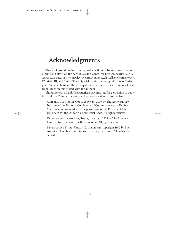## **Acknowledgments**

This book would not have been possible without substantial contributions of time and effort on the part of Clayton Center for Entrepreneurial Law Research Associates Patrick Hawley, Melissa Hunter, Leah Walker, George Robert Whitfield III, and Emily Zibart. Special thanks and recognition go to Christopher William Sherman, the principal Clayton Center Research Associate and team leader on this project with the authors.

The authors also thank The American Law Institute for permission to quote the Uniform Commercial Code and various restatements of the law:

UNIFORM COMMRCIAL CODE, copyright 2007 by The American Law Institute of the National Conference of Commissioners on Uniform State laws. Reproduced with the permission of the Permanent Editorial Board for the Uniform Commercial Code. All rights reserved.

RESTATEMENT OF THE LAW, TORTS, copyright 1939 by The American Law Institute. Reprinted with permission. All rights reserved.

RESTATEMENT THIRD, UNFAIR COMPETITION, copyright 1995 by The American Law Institute. Reprinted with permission. All rights reserved.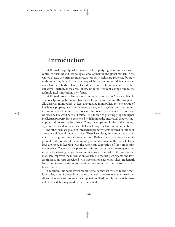## **Introduction**

Intellectual property, which consists of property rights in innovations, is central to business and technological development in the global market. In the United States, the primary intellectual property rights are protected by state trade secret law, federal patent and copyright law, and state and federal trademark law. Each body of law protects different interests and operates in different ways. Further, these areas of law undergo frequent change due to the technological innovations they foster.

Intellectual property law is something of an anomaly in American law. In our society, competition and free markets are the norm, and the law generally disfavors monopolies, at least unregulated monopolies. Yet, one group of intellectual property laws—trade secret, patent, and copyright law—grants limited monopolies to induce inventors and authors to create new inventions and works. The key word here is "limited." In addition to granting property rights, intellectual property law is concerned with limiting the intellectual property monopoly and preventing its misuse. Thus, the scope and limits of the monopoly control the extent to which intellectual property law limits competition.

The other primary group of intellectual property rights covered in this book are state and federal trademark laws. These laws also grant a monopoly — but not in exchange for innovation or creation. Rather, trademark law is meant to prevent confusion about the source of goods and services in the market. These laws are more in keeping with the American conception of the competitive marketplace. Trademark law prevents confusion about the source of goods and services by allowing the goods and services to be branded. In this way, trademark law improves the information available to market participants and lowers transaction costs associated with information gathering. Thus, trademark law promotes competition even as it grants a monopoly on the use of a particular mark.

In addition, this book covers moral rights, somewhat foreign to the American pallet, a set of protections that secures artists' control over their work and allows them some control over their reputations. Traditionally, moral rights have not been widely recognized in the United States.